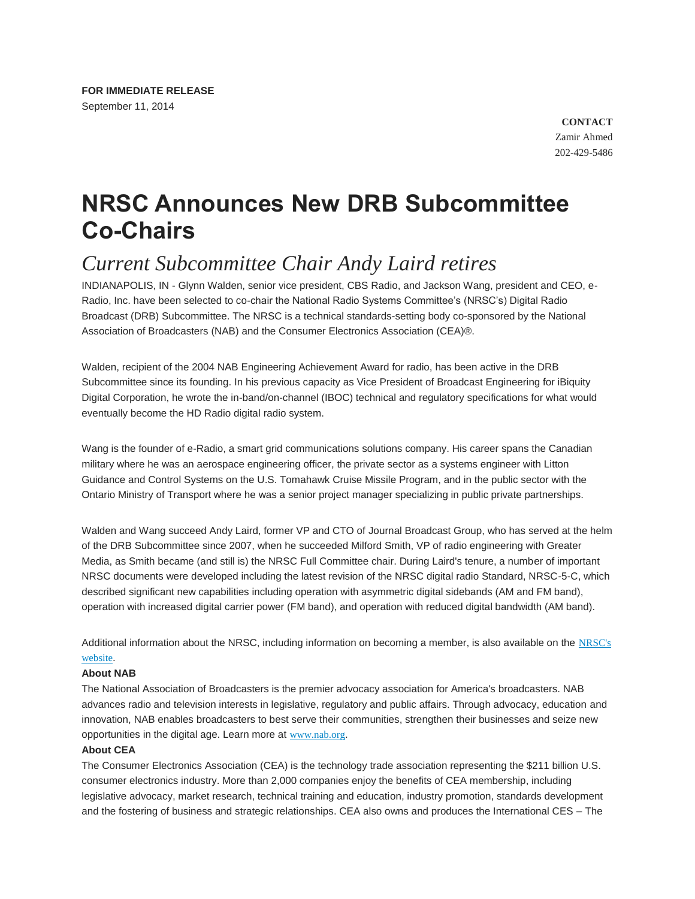**CONTACT** Zamir Ahmed 202-429-5486

## **NRSC Announces New DRB Subcommittee Co-Chairs**

## *Current Subcommittee Chair Andy Laird retires*

INDIANAPOLIS, IN - Glynn Walden, senior vice president, CBS Radio, and Jackson Wang, president and CEO, e-Radio, Inc. have been selected to co-chair the National Radio Systems Committee's (NRSC's) Digital Radio Broadcast (DRB) Subcommittee. The NRSC is a technical standards-setting body co-sponsored by the National Association of Broadcasters (NAB) and the Consumer Electronics Association (CEA)®.

Walden, recipient of the 2004 NAB Engineering Achievement Award for radio, has been active in the DRB Subcommittee since its founding. In his previous capacity as Vice President of Broadcast Engineering for iBiquity Digital Corporation, he wrote the in-band/on-channel (IBOC) technical and regulatory specifications for what would eventually become the HD Radio digital radio system.

Wang is the founder of e-Radio, a smart grid communications solutions company. His career spans the Canadian military where he was an aerospace engineering officer, the private sector as a systems engineer with Litton Guidance and Control Systems on the U.S. Tomahawk Cruise Missile Program, and in the public sector with the Ontario Ministry of Transport where he was a senior project manager specializing in public private partnerships.

Walden and Wang succeed Andy Laird, former VP and CTO of Journal Broadcast Group, who has served at the helm of the DRB Subcommittee since 2007, when he succeeded Milford Smith, VP of radio engineering with Greater Media, as Smith became (and still is) the NRSC Full Committee chair. During Laird's tenure, a number of important NRSC documents were developed including the latest revision of the NRSC digital radio Standard, NRSC-5-C, which described significant new capabilities including operation with asymmetric digital sidebands (AM and FM band), operation with increased digital carrier power (FM band), and operation with reduced digital bandwidth (AM band).

Additional information about the NRSC, including information on becoming a member, is also available on the [NRSC's](http://www.nrscstandards.org/) [website](http://www.nrscstandards.org/).

## **About NAB**

The National Association of Broadcasters is the premier advocacy association for America's broadcasters. NAB advances radio and television interests in legislative, regulatory and public affairs. Through advocacy, education and innovation, NAB enables broadcasters to best serve their communities, strengthen their businesses and seize new opportunities in the digital age. Learn more at [www.nab.org](http://www.nab.org/).

## **About CEA**

The Consumer Electronics Association (CEA) is the technology trade association representing the \$211 billion U.S. consumer electronics industry. More than 2,000 companies enjoy the benefits of CEA membership, including legislative advocacy, market research, technical training and education, industry promotion, standards development and the fostering of business and strategic relationships. CEA also owns and produces the International CES – The